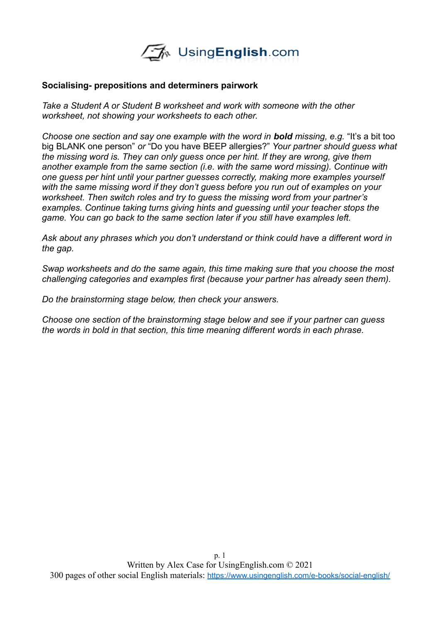

#### **Socialising- prepositions and determiners pairwork**

*Take a Student A or Student B worksheet and work with someone with the other worksheet, not showing your worksheets to each other.* 

*Choose one section and say one example with the word in bold missing, e.g.* "It's a bit too big BLANK one person" *or* "Do you have BEEP allergies?" *Your partner should guess what the missing word is. They can only guess once per hint. If they are wrong, give them another example from the same section (i.e. with the same word missing). Continue with one guess per hint until your partner guesses correctly, making more examples yourself with the same missing word if they don't guess before you run out of examples on your worksheet. Then switch roles and try to guess the missing word from your partner's examples. Continue taking turns giving hints and guessing until your teacher stops the game. You can go back to the same section later if you still have examples left.* 

*Ask about any phrases which you don't understand or think could have a different word in the gap.*

*Swap worksheets and do the same again, this time making sure that you choose the most challenging categories and examples first (because your partner has already seen them).* 

*Do the brainstorming stage below, then check your answers.* 

*Choose one section of the brainstorming stage below and see if your partner can guess the words in bold in that section, this time meaning different words in each phrase.*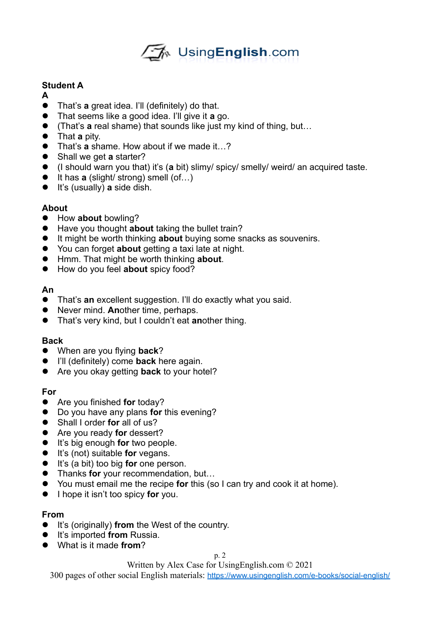

# **Student A**

- **A**
- That's **a** great idea. I'll (definitely) do that.
- That seems like a good idea. I'll give it **a** go.
- (That's **a** real shame) that sounds like just my kind of thing, but...
- That **a** pity.
- That's **a** shame. How about if we made it…?
- Shall we get **a** starter?
- (I should warn you that) it's (**a** bit) slimy/ spicy/ smelly/ weird/ an acquired taste.
- It has **a** (slight/ strong) smell (of...)
- It's (usually) **a** side dish.

# **About**

- How **about** bowling?
- Have you thought **about** taking the bullet train?
- It might be worth thinking **about** buying some snacks as souvenirs.
- You can forget **about** getting a taxi late at night.
- Hmm. That might be worth thinking **about**.
- How do you feel **about** spicy food?

## **An**

- That's **an** excellent suggestion. I'll do exactly what you said.
- Never mind. **An**other time, perhaps.
- That's very kind, but I couldn't eat **an**other thing.

## **Back**

- When are you flying **back**?
- I'll (definitely) come **back** here again.
- Are you okay getting **back** to your hotel?

# **For**

- Are you finished **for** today?
- Do you have any plans **for** this evening?
- Shall I order **for** all of us?
- Are you ready **for** dessert?
- **It's big enough for two people.**
- **It's (not) suitable for vegans.**
- **It's (a bit) too big for one person.**
- **Thanks for** your recommendation, but...
- You must email me the recipe **for** this (so I can try and cook it at home).
- **I** hope it isn't too spicy for you.

# **From**

- **It's (originally) from the West of the country.**
- **•** It's imported from Russia.
- What is it made **from**?

p. 2

Written by Alex Case for UsingEnglish.com © 2021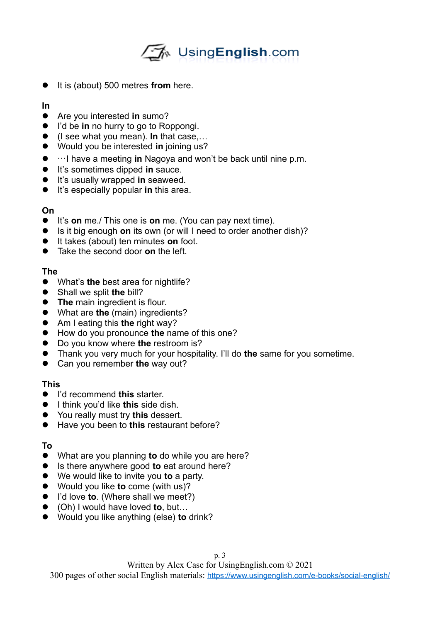# √M UsingEnglish.com

- **It is (about) 500 metres from here.**
- **In**
- Are you interested **in** sumo?
- I'd be **in** no hurry to go to Roppongi.
- (I see what you mean). **In** that case,…
- Would you be interested **in** joining us?
- …I have a meeting **in** Nagoya and won't be back until nine p.m.
- **It's sometimes dipped in sauce.**
- **It's usually wrapped in seaweed.**
- It's especially popular **in** this area.

## **On**

- It's **on** me./ This one is **on** me. (You can pay next time).
- **Is it big enough on its own (or will I need to order another dish)?**
- It takes (about) ten minutes **on** foot.
- **Take the second door on the left.**

#### **The**

- What's **the** best area for nightlife?
- Shall we split **the** bill?
- **The main ingredient is flour.**
- What are **the** (main) ingredients?
- Am I eating this **the** right way?
- How do you pronounce **the** name of this one?
- Do you know where **the** restroom is?
- Thank you very much for your hospitality. I'll do **the** same for you sometime.
- Can you remember **the** way out?

## **This**

- I'd recommend **this** starter.
- **I** think you'd like this side dish.
- You really must try **this** dessert.
- Have you been to **this** restaurant before?

## **To**

- What are you planning **to** do while you are here?
- Is there anywhere good **to** eat around here?
- We would like to invite you **to** a party.
- Would you like **to** come (with us)?
- I'd love **to**. (Where shall we meet?)
- (Oh) I would have loved **to**, but…
- Would you like anything (else) **to** drink?

Written by Alex Case for UsingEnglish.com © 2021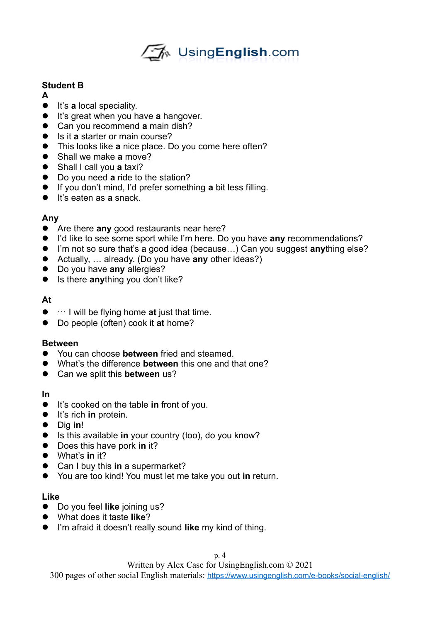

# **Student B**

- **A**
- **It's a** local speciality.
- **It's great when you have a hangover.**
- Can you recommend **a** main dish?
- Is it **a** starter or main course?
- This looks like **a** nice place. Do you come here often?
- Shall we make **a** move?
- Shall I call you **a** taxi?
- Do you need **a** ride to the station?
- If you don't mind, I'd prefer something **a** bit less filling.
- **It's eaten as a snack.**

#### **Any**

- Are there **any** good restaurants near here?
- I'd like to see some sport while I'm here. Do you have **any** recommendations?
- I'm not so sure that's a good idea (because...) Can you suggest **any**thing else?
- Actually, … already. (Do you have **any** other ideas?)
- Do you have **any** allergies?
- **Is there anything you don't like?**

#### **At**

- … I will be flying home **at** just that time.
- Do people (often) cook it **at** home?

#### **Between**

- You can choose **between** fried and steamed.
- What's the difference **between** this one and that one?
- Can we split this **between** us?

**In**

- It's cooked on the table **in** front of you.
- **It's rich in protein.**
- Dig **in**!
- Is this available **in** your country (too), do you know?
- Does this have pork in it?
- What's **in** it?
- Can I buy this **in** a supermarket?
- You are too kind! You must let me take you out **in** return.

#### **Like**

- Do you feel **like** joining us?
- What does it taste **like**?
- I'm afraid it doesn't really sound **like** my kind of thing.

Written by Alex Case for UsingEnglish.com © 2021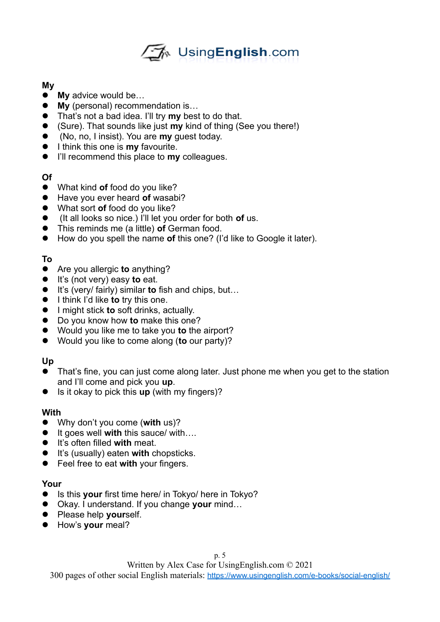

#### **My**

- **My** advice would be…
- **My** (personal) recommendation is...
- That's not a bad idea. I'll try **my** best to do that.
- (Sure). That sounds like just **my** kind of thing (See you there!)
- (No, no, I insist). You are **my** guest today.
- **I** think this one is **my** favourite.
- I'll recommend this place to **my** colleagues.

# **Of**

- What kind **of** food do you like?
- Have you ever heard **of** wasabi?
- What sort **of** food do you like?
- (It all looks so nice.) I'll let you order for both **of** us.
- This reminds me (a little) **of** German food.
- How do you spell the name **of** this one? (I'd like to Google it later).

# **To**

- Are you allergic **to** anything?
- It's (not very) easy **to** eat.
- It's (very/ fairly) similar **to** fish and chips, but...
- **I** think I'd like **to** try this one.
- I might stick **to** soft drinks, actually.
- Do you know how **to** make this one?
- Would you like me to take you **to** the airport?
- Would you like to come along (**to** our party)?

## **Up**

- That's fine, you can just come along later. Just phone me when you get to the station and I'll come and pick you **up**.
- Is it okay to pick this **up** (with my fingers)?

## **With**

- Why don't you come (**with** us)?
- It goes well with this sauce/ with….
- It's often filled **with** meat.
- **It's (usually) eaten with chopsticks.**
- Feel free to eat **with** your fingers.

## **Your**

- Is this your first time here/ in Tokyo/ here in Tokyo?
- Okay. I understand. If you change **your** mind…
- **•** Please help yourself.
- How's **your** meal?

Written by Alex Case for UsingEnglish.com © 2021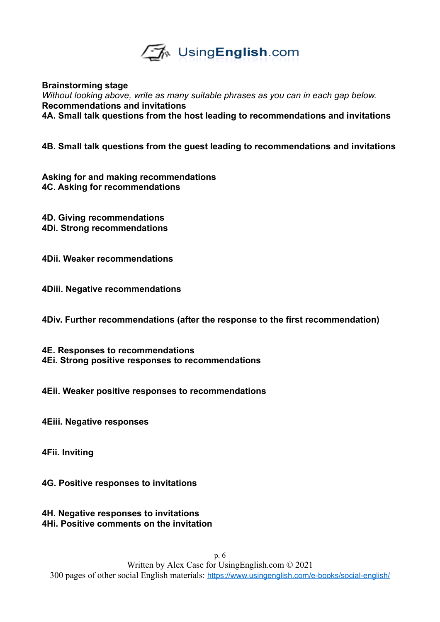

**Brainstorming stage**

*Without looking above, write as many suitable phrases as you can in each gap below.*  **Recommendations and invitations 4A. Small talk questions from the host leading to recommendations and invitations**

**4B. Small talk questions from the guest leading to recommendations and invitations**

**Asking for and making recommendations 4C. Asking for recommendations**

**4D. Giving recommendations 4Di. Strong recommendations**

**4Dii. Weaker recommendations**

**4Diii. Negative recommendations** 

**4Div. Further recommendations (after the response to the first recommendation)**

**4E. Responses to recommendations 4Ei. Strong positive responses to recommendations**

**4Eii. Weaker positive responses to recommendations**

**4Eiii. Negative responses**

**4Fii. Inviting**

**4G. Positive responses to invitations**

**4H. Negative responses to invitations 4Hi. Positive comments on the invitation**